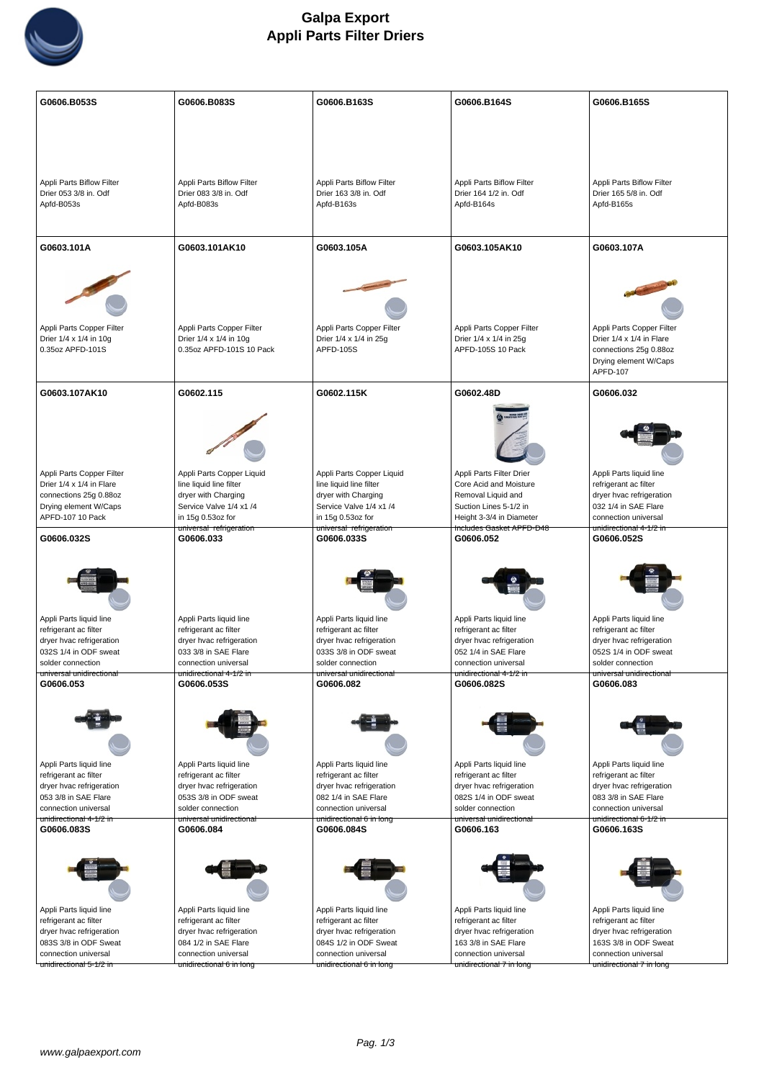

| G0606.B053S                                       | G0606.B083S                                      | G0606.B163S                                       | G0606.B164S                                      | G0606.B165S                                       |
|---------------------------------------------------|--------------------------------------------------|---------------------------------------------------|--------------------------------------------------|---------------------------------------------------|
|                                                   |                                                  |                                                   |                                                  |                                                   |
|                                                   |                                                  |                                                   |                                                  |                                                   |
|                                                   |                                                  |                                                   |                                                  |                                                   |
|                                                   |                                                  |                                                   |                                                  |                                                   |
|                                                   |                                                  |                                                   |                                                  |                                                   |
|                                                   |                                                  |                                                   |                                                  |                                                   |
|                                                   |                                                  |                                                   |                                                  |                                                   |
| Appli Parts Biflow Filter                         | Appli Parts Biflow Filter                        | Appli Parts Biflow Filter                         | Appli Parts Biflow Filter                        | Appli Parts Biflow Filter                         |
| Drier 053 3/8 in. Odf                             | Drier 083 3/8 in. Odf                            | Drier 163 3/8 in. Odf                             | Drier 164 1/2 in. Odf                            | Drier 165 5/8 in. Odf                             |
| Apfd-B053s                                        | Apfd-B083s                                       | Apfd-B163s                                        | Apfd-B164s                                       | Apfd-B165s                                        |
|                                                   |                                                  |                                                   |                                                  |                                                   |
|                                                   |                                                  |                                                   |                                                  |                                                   |
|                                                   |                                                  |                                                   | G0603.105AK10                                    |                                                   |
| G0603.101A                                        | G0603.101AK10                                    | G0603.105A                                        |                                                  | G0603.107A                                        |
|                                                   |                                                  |                                                   |                                                  |                                                   |
|                                                   |                                                  |                                                   |                                                  |                                                   |
|                                                   |                                                  |                                                   |                                                  |                                                   |
|                                                   |                                                  |                                                   |                                                  |                                                   |
|                                                   |                                                  |                                                   |                                                  |                                                   |
|                                                   |                                                  |                                                   |                                                  |                                                   |
| Appli Parts Copper Filter                         | Appli Parts Copper Filter                        | Appli Parts Copper Filter                         | Appli Parts Copper Filter                        | Appli Parts Copper Filter                         |
| Drier 1/4 x 1/4 in 10g                            | Drier 1/4 x 1/4 in 10g                           | Drier 1/4 x 1/4 in 25g                            | Drier 1/4 x 1/4 in 25g                           | Drier 1/4 x 1/4 in Flare                          |
| 0.35oz APFD-101S                                  | 0.35oz APFD-101S 10 Pack                         | <b>APFD-105S</b>                                  | APFD-105S 10 Pack                                | connections 25g 0.88oz                            |
|                                                   |                                                  |                                                   |                                                  | Drying element W/Caps                             |
|                                                   |                                                  |                                                   |                                                  | APFD-107                                          |
| G0603.107AK10                                     | G0602.115                                        | G0602.115K                                        | G0602.48D                                        | G0606.032                                         |
|                                                   |                                                  |                                                   |                                                  |                                                   |
|                                                   |                                                  |                                                   |                                                  |                                                   |
|                                                   |                                                  |                                                   |                                                  |                                                   |
|                                                   |                                                  |                                                   |                                                  |                                                   |
|                                                   |                                                  |                                                   |                                                  |                                                   |
|                                                   |                                                  |                                                   |                                                  |                                                   |
| Appli Parts Copper Filter                         | Appli Parts Copper Liquid                        | Appli Parts Copper Liquid                         | Appli Parts Filter Drier                         | Appli Parts liquid line                           |
| Drier 1/4 x 1/4 in Flare                          | line liquid line filter                          | line liquid line filter                           | Core Acid and Moisture                           |                                                   |
| connections 25g 0.88oz                            | dryer with Charging                              | dryer with Charging                               | Removal Liquid and                               | refrigerant ac filter<br>dryer hvac refrigeration |
| Drying element W/Caps                             | Service Valve 1/4 x1 /4                          | Service Valve 1/4 x1 /4                           | Suction Lines 5-1/2 in                           | 032 1/4 in SAE Flare                              |
| APFD-107 10 Pack                                  | in 15g 0.53oz for                                | in 15g 0.53oz for                                 | Height 3-3/4 in Diameter                         | connection universal                              |
|                                                   | universal refrigeration                          | universal refrigeration                           | Includes Gasket APFD-D48                         | <del>unidirectional 4-1/2 in</del>                |
| G0606.032S                                        | G0606.033                                        | G0606.033S                                        | G0606.052                                        | G0606.052S                                        |
|                                                   |                                                  |                                                   |                                                  |                                                   |
|                                                   |                                                  |                                                   |                                                  |                                                   |
|                                                   |                                                  |                                                   |                                                  |                                                   |
|                                                   |                                                  |                                                   |                                                  |                                                   |
|                                                   |                                                  |                                                   |                                                  |                                                   |
|                                                   |                                                  |                                                   |                                                  |                                                   |
| Appli Parts liquid line                           | Appli Parts liquid line                          | Appli Parts liquid line                           | Appli Parts liquid line                          | Appli Parts liquid line                           |
| refrigerant ac filter                             |                                                  |                                                   |                                                  |                                                   |
|                                                   |                                                  |                                                   |                                                  |                                                   |
|                                                   | refrigerant ac filter                            | refrigerant ac filter                             | refrigerant ac filter                            | refrigerant ac filter                             |
| dryer hvac refrigeration<br>032S 1/4 in ODF sweat | dryer hvac refrigeration<br>033 3/8 in SAE Flare | dryer hvac refrigeration<br>033S 3/8 in ODF sweat | dryer hvac refrigeration<br>052 1/4 in SAE Flare | dryer hvac refrigeration<br>052S 1/4 in ODF sweat |
| solder connection                                 | connection universal                             | solder connection                                 | connection universal                             | solder connection                                 |
| universal unidirectional                          | unidirectional 4-1/2 in                          | universal unidirectional                          | unidirectional 4-1/2 in                          | universal unidirectional                          |
| G0606.053                                         | G0606.053S                                       | G0606.082                                         | G0606.082S                                       | G0606.083                                         |
|                                                   |                                                  |                                                   |                                                  |                                                   |
|                                                   |                                                  |                                                   |                                                  |                                                   |
|                                                   |                                                  |                                                   |                                                  |                                                   |
|                                                   |                                                  |                                                   |                                                  |                                                   |
|                                                   |                                                  |                                                   |                                                  |                                                   |
|                                                   |                                                  |                                                   |                                                  |                                                   |
| Appli Parts liquid line                           | Appli Parts liquid line                          | Appli Parts liquid line                           | Appli Parts liquid line                          | Appli Parts liquid line                           |
| refrigerant ac filter                             | refrigerant ac filter                            | refrigerant ac filter                             | refrigerant ac filter                            | refrigerant ac filter                             |
| dryer hvac refrigeration                          | dryer hvac refrigeration                         | dryer hvac refrigeration                          | dryer hvac refrigeration                         | dryer hvac refrigeration                          |
| 053 3/8 in SAE Flare                              | 053S 3/8 in ODF sweat                            | 082 1/4 in SAE Flare                              | 082S 1/4 in ODF sweat                            | 083 3/8 in SAE Flare                              |
| connection universal                              | solder connection                                | connection universal                              | solder connection                                | connection universal                              |
| unidirectional 4-1/2 in                           | universal unidirectional                         | <del>unidirectional 6 in long</del>               | universal unidirectional                         | unidirectional 6-1/2 in                           |
| G0606.083S                                        | G0606.084                                        | G0606.084S                                        | G0606.163                                        | G0606.163S                                        |
|                                                   |                                                  |                                                   |                                                  |                                                   |
|                                                   |                                                  |                                                   |                                                  |                                                   |
|                                                   |                                                  |                                                   |                                                  |                                                   |
|                                                   |                                                  |                                                   |                                                  |                                                   |
|                                                   |                                                  |                                                   |                                                  |                                                   |
|                                                   |                                                  |                                                   |                                                  |                                                   |
| Appli Parts liquid line                           | Appli Parts liquid line                          | Appli Parts liquid line                           | Appli Parts liquid line                          | Appli Parts liquid line                           |
| refrigerant ac filter                             | refrigerant ac filter                            | refrigerant ac filter                             | refrigerant ac filter                            | refrigerant ac filter                             |
| dryer hvac refrigeration<br>083S 3/8 in ODF Sweat | dryer hvac refrigeration<br>084 1/2 in SAE Flare | dryer hvac refrigeration<br>084S 1/2 in ODF Sweat | dryer hvac refrigeration<br>163 3/8 in SAE Flare | dryer hvac refrigeration<br>163S 3/8 in ODF Sweat |
| connection universal                              | connection universal                             | connection universal                              | connection universal                             | connection universal                              |
| unidirectional 5-1/2 in                           | unidirectional 6 in long                         | unidirectional 6 in long                          | unidirectional 7 in long                         | unidirectional 7 in long                          |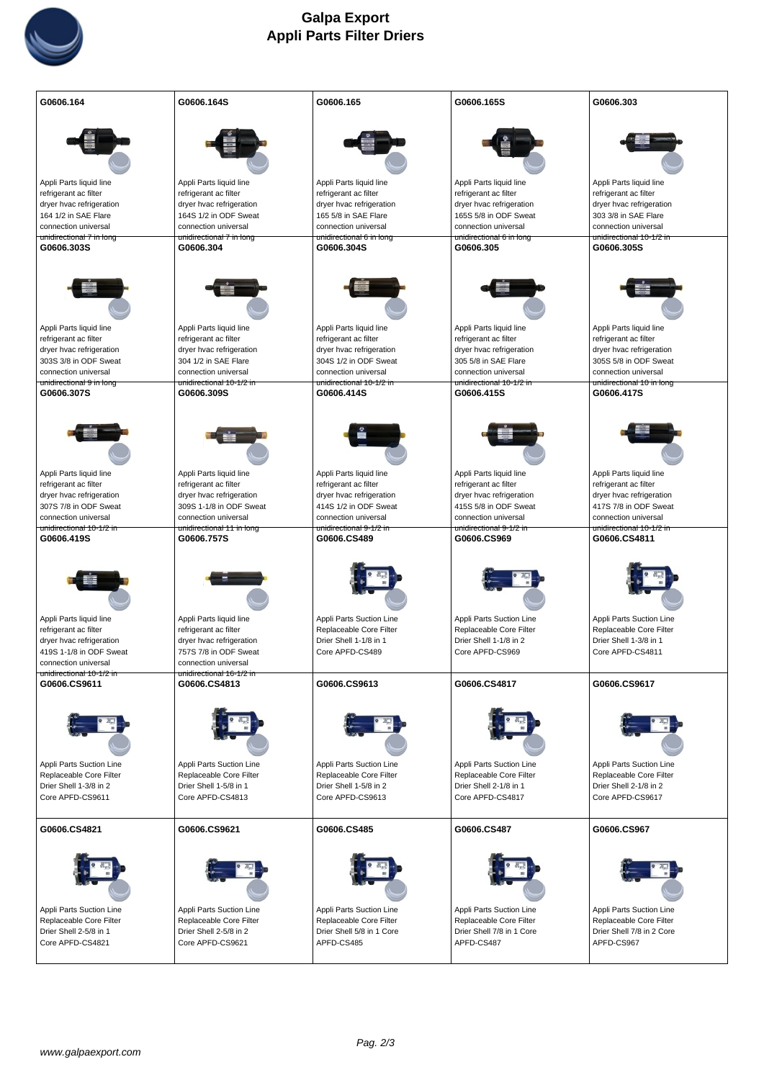

| G0606.164                                        | G0606.164S                                       | G0606.165                              | G0606.165S                                        | G0606.303                                           |
|--------------------------------------------------|--------------------------------------------------|----------------------------------------|---------------------------------------------------|-----------------------------------------------------|
|                                                  |                                                  |                                        |                                                   |                                                     |
| Appli Parts liquid line                          | Appli Parts liquid line                          | Appli Parts liquid line                | Appli Parts liquid line                           | Appli Parts liquid line                             |
| refrigerant ac filter                            | refrigerant ac filter                            | refrigerant ac filter                  | refrigerant ac filter                             | refrigerant ac filter                               |
| dryer hvac refrigeration                         | dryer hvac refrigeration                         | dryer hvac refrigeration               | dryer hvac refrigeration                          | dryer hvac refrigeration                            |
| 164 1/2 in SAE Flare                             | 164S 1/2 in ODF Sweat                            | 165 5/8 in SAE Flare                   | 165S 5/8 in ODF Sweat                             | 303 3/8 in SAE Flare                                |
| connection universal                             | connection universal                             | connection universal                   | connection universal                              | connection universal                                |
| unidirectional 7 in long<br>G0606.303S           | unidirectional 7 in long<br>G0606.304            | unidirectional 6 in long<br>G0606.304S | unidirectional 6 in long<br>G0606.305             | unidirectional 10-1/2 in<br>G0606.305S              |
|                                                  |                                                  |                                        |                                                   |                                                     |
| Appli Parts liquid line                          | Appli Parts liquid line                          | Appli Parts liquid line                | Appli Parts liquid line                           | Appli Parts liquid line                             |
| refrigerant ac filter                            | refrigerant ac filter                            | refrigerant ac filter                  | refrigerant ac filter                             | refrigerant ac filter                               |
| dryer hvac refrigeration                         | dryer hvac refrigeration                         | dryer hvac refrigeration               | dryer hvac refrigeration                          | dryer hvac refrigeration                            |
| 303S 3/8 in ODF Sweat                            | 304 1/2 in SAE Flare                             | 304S 1/2 in ODF Sweat                  | 305 5/8 in SAE Flare                              | 305S 5/8 in ODF Sweat                               |
| connection universal                             | connection universal                             | connection universal                   | connection universal                              | connection universal                                |
| unidirectional 9 in long<br>G0606.307S           | unidirectional 10-1/2 in<br>G0606.309S           | unidirectional 10-1/2 in<br>G0606.414S | unidirectional 10-1/2 in<br>G0606.415S            | unidirectional 10 in long<br>G0606.417S             |
|                                                  |                                                  |                                        |                                                   |                                                     |
| Appli Parts liquid line                          | Appli Parts liquid line                          | Appli Parts liquid line                | Appli Parts liquid line                           | Appli Parts liquid line                             |
| refrigerant ac filter                            | refrigerant ac filter                            | refrigerant ac filter                  | refrigerant ac filter                             | refrigerant ac filter                               |
| dryer hvac refrigeration                         | dryer hvac refrigeration                         | dryer hvac refrigeration               | dryer hvac refrigeration                          | dryer hvac refrigeration                            |
| 307S 7/8 in ODF Sweat                            | 309S 1-1/8 in ODF Sweat                          | 414S 1/2 in ODF Sweat                  | 415S 5/8 in ODF Sweat                             | 417S 7/8 in ODF Sweat                               |
| connection universal                             | connection universal                             | connection universal                   | connection universal                              | connection universal                                |
| unidirectional 10-1/2 in<br>G0606.419S           | unidirectional 11 in long<br>G0606.757S          | unidirectional 9-1/2 in<br>G0606.CS489 | <del>unidirectional 9-1/2 in</del><br>G0606.CS969 | <del>unidirectional 10-1/2 in</del><br>G0606.CS4811 |
|                                                  |                                                  |                                        |                                                   |                                                     |
| Appli Parts liquid line                          | Appli Parts liquid line                          | Appli Parts Suction Line               | Appli Parts Suction Line                          | Appli Parts Suction Line                            |
| refrigerant ac filter                            | refrigerant ac filter                            | Replaceable Core Filter                | Replaceable Core Filter                           | Replaceable Core Filter                             |
| dryer hvac refrigeration                         | dryer hvac refrigeration                         | Drier Shell 1-1/8 in 1                 | Drier Shell 1-1/8 in 2                            | Drier Shell 1-3/8 in 1                              |
| 419S 1-1/8 in ODF Sweat                          | 757S 7/8 in ODF Sweat                            | Core APFD-CS489                        | Core APFD-CS969                                   | Core APFD-CS4811                                    |
| connection universal<br>unidirectional 10-1/2 in | connection universal<br>unidirectional 16-1/2 in |                                        |                                                   |                                                     |
| G0606.CS9611                                     | G0606.CS4813                                     | G0606.CS9613                           | G0606.CS4817                                      | G0606.CS9617                                        |
|                                                  |                                                  |                                        |                                                   |                                                     |
| Appli Parts Suction Line                         | Appli Parts Suction Line                         | Appli Parts Suction Line               | Appli Parts Suction Line                          | Appli Parts Suction Line                            |
| Replaceable Core Filter                          | Replaceable Core Filter                          | Replaceable Core Filter                | Replaceable Core Filter                           | Replaceable Core Filter                             |
| Drier Shell 1-3/8 in 2                           | Drier Shell 1-5/8 in 1                           | Drier Shell 1-5/8 in 2                 | Drier Shell 2-1/8 in 1                            | Drier Shell 2-1/8 in 2                              |
| Core APFD-CS9611                                 | Core APFD-CS4813                                 | Core APFD-CS9613                       | Core APFD-CS4817                                  | Core APFD-CS9617                                    |
| G0606.CS4821                                     | G0606.CS9621                                     | G0606.CS485                            | G0606.CS487                                       | G0606.CS967                                         |
|                                                  |                                                  |                                        |                                                   |                                                     |
|                                                  |                                                  |                                        |                                                   |                                                     |
| Appli Parts Suction Line                         | Appli Parts Suction Line                         | Appli Parts Suction Line               | Appli Parts Suction Line                          | Appli Parts Suction Line                            |
| Replaceable Core Filter                          | Replaceable Core Filter                          | Replaceable Core Filter                | Replaceable Core Filter                           | Replaceable Core Filter                             |
| Drier Shell 2-5/8 in 1                           | Drier Shell 2-5/8 in 2                           | Drier Shell 5/8 in 1 Core              | Drier Shell 7/8 in 1 Core                         | Drier Shell 7/8 in 2 Core                           |
| Core APFD-CS4821                                 | Core APFD-CS9621                                 | APFD-CS485                             | APFD-CS487                                        | APFD-CS967                                          |